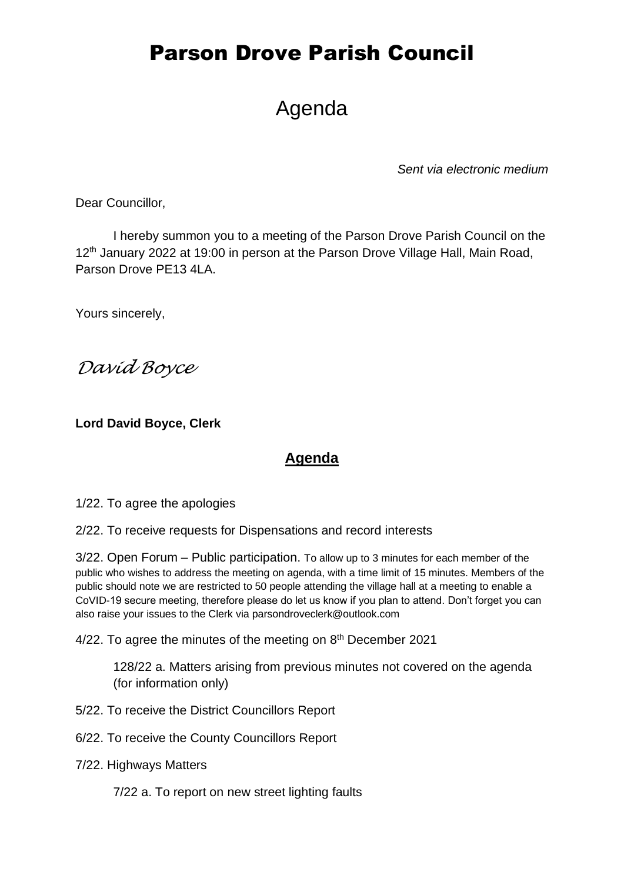# Parson Drove Parish Council

# Agenda

*Sent via electronic medium*

Dear Councillor,

I hereby summon you to a meeting of the Parson Drove Parish Council on the 12<sup>th</sup> January 2022 at 19:00 in person at the Parson Drove Village Hall, Main Road, Parson Drove PE13 4LA.

Yours sincerely,

*David Boyce*

**Lord David Boyce, Clerk**

### **Agenda**

1/22. To agree the apologies

2/22. To receive requests for Dispensations and record interests

3/22. Open Forum – Public participation. To allow up to 3 minutes for each member of the public who wishes to address the meeting on agenda, with a time limit of 15 minutes. Members of the public should note we are restricted to 50 people attending the village hall at a meeting to enable a CoVID-19 secure meeting, therefore please do let us know if you plan to attend. Don't forget you can also raise your issues to the Clerk via parsondroveclerk@outlook.com

4/22. To agree the minutes of the meeting on 8<sup>th</sup> December 2021

128/22 a. Matters arising from previous minutes not covered on the agenda (for information only)

5/22. To receive the District Councillors Report

6/22. To receive the County Councillors Report

7/22. Highways Matters

7/22 a. To report on new street lighting faults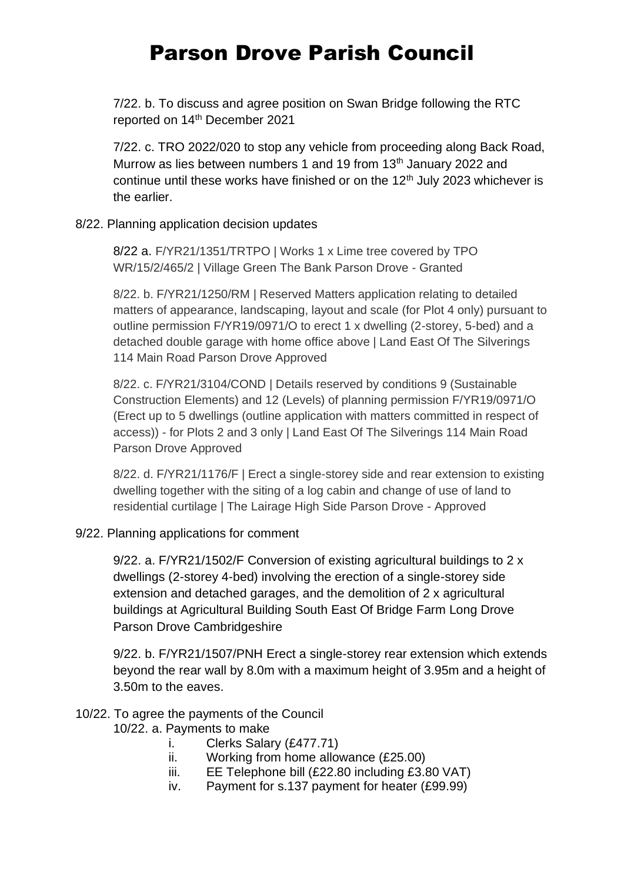# Parson Drove Parish Council

7/22. b. To discuss and agree position on Swan Bridge following the RTC reported on 14<sup>th</sup> December 2021

7/22. c. TRO 2022/020 to stop any vehicle from proceeding along Back Road, Murrow as lies between numbers 1 and 19 from 13<sup>th</sup> January 2022 and continue until these works have finished or on the  $12<sup>th</sup>$  July 2023 whichever is the earlier.

#### 8/22. Planning application decision updates

8/22 a. F/YR21/1351/TRTPO | Works 1 x Lime tree covered by TPO WR/15/2/465/2 | Village Green The Bank Parson Drove - Granted

8/22. b. F/YR21/1250/RM | Reserved Matters application relating to detailed matters of appearance, landscaping, layout and scale (for Plot 4 only) pursuant to outline permission F/YR19/0971/O to erect 1 x dwelling (2-storey, 5-bed) and a detached double garage with home office above | Land East Of The Silverings 114 Main Road Parson Drove Approved

8/22. c. F/YR21/3104/COND | Details reserved by conditions 9 (Sustainable Construction Elements) and 12 (Levels) of planning permission F/YR19/0971/O (Erect up to 5 dwellings (outline application with matters committed in respect of access)) - for Plots 2 and 3 only | Land East Of The Silverings 114 Main Road Parson Drove Approved

8/22. d. F/YR21/1176/F | Erect a single-storey side and rear extension to existing dwelling together with the siting of a log cabin and change of use of land to residential curtilage | The Lairage High Side Parson Drove - Approved

#### 9/22. Planning applications for comment

9/22. a. F/YR21/1502/F Conversion of existing agricultural buildings to 2 x dwellings (2-storey 4-bed) involving the erection of a single-storey side extension and detached garages, and the demolition of 2 x agricultural buildings at Agricultural Building South East Of Bridge Farm Long Drove Parson Drove Cambridgeshire

9/22. b. F/YR21/1507/PNH [Erect a single-storey rear extension which extends](https://www.publicaccess.fenland.gov.uk/publicaccess/applicationDetails.do?keyVal=R47UZMHE0D800&activeTab=summary)  [beyond the rear wall by 8.0m with a maximum height of 3.95m and a height of](https://www.publicaccess.fenland.gov.uk/publicaccess/applicationDetails.do?keyVal=R47UZMHE0D800&activeTab=summary)  [3.50m to the eaves.](https://www.publicaccess.fenland.gov.uk/publicaccess/applicationDetails.do?keyVal=R47UZMHE0D800&activeTab=summary)

#### 10/22. To agree the payments of the Council

- 10/22. a. Payments to make
	- i. Clerks Salary (£477.71)
	- ii. Working from home allowance (£25.00)
	- iii. EE Telephone bill (£22.80 including £3.80 VAT)
	- iv. Payment for s.137 payment for heater (£99.99)